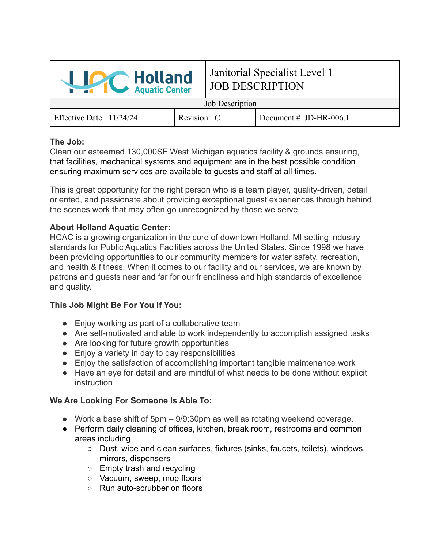

# Janitorial Specialist Level 1 JOB DESCRIPTION

Job Description

Effective Date: 11/24/24 Revision: C Document # JD-HR-006.1

#### **The Job:**

Clean our esteemed 130,000SF West Michigan aquatics facility & grounds ensuring, that facilities, mechanical systems and equipment are in the best possible condition ensuring maximum services are available to guests and staff at all times.

This is great opportunity for the right person who is a team player, quality-driven, detail oriented, and passionate about providing exceptional guest experiences through behind the scenes work that may often go unrecognized by those we serve.

## **About Holland Aquatic Center:**

HCAC is a growing organization in the core of downtown Holland, MI setting industry standards for Public Aquatics Facilities across the United States. Since 1998 we have been providing opportunities to our community members for water safety, recreation, and health & fitness. When it comes to our facility and our services, we are known by patrons and guests near and far for our friendliness and high standards of excellence and quality.

## **This Job Might Be For You If You:**

- Enjoy working as part of a collaborative team
- Are self-motivated and able to work independently to accomplish assigned tasks
- Are looking for future growth opportunities
- Enjoy a variety in day to day responsibilities
- Enjoy the satisfaction of accomplishing important tangible maintenance work
- Have an eye for detail and are mindful of what needs to be done without explicit **instruction**

## **We Are Looking For Someone Is Able To:**

- Work a base shift of 5pm 9/9:30pm as well as rotating weekend coverage.
- Perform daily cleaning of offices, kitchen, break room, restrooms and common areas including
	- Dust, wipe and clean surfaces, fixtures (sinks, faucets, toilets), windows, mirrors, dispensers
	- Empty trash and recycling
	- Vacuum, sweep, mop floors
	- Run auto-scrubber on floors